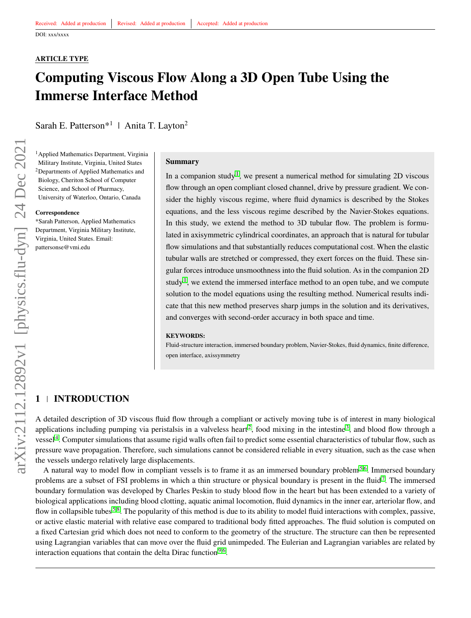#### **ARTICLE TYPE**

# **Computing Viscous Flow Along a 3D Open Tube Using the Immerse Interface Method**

Sarah E. Patterson<sup>\*1</sup> | Anita T. Layton<sup>2</sup>

<sup>1</sup> Applied Mathematics Department, Virginia Military Institute, Virginia, United States <sup>2</sup>Departments of Applied Mathematics and Biology, Cheriton School of Computer Science, and School of Pharmacy, University of Waterloo, Ontario, Canada

#### **Correspondence**

\*Sarah Patterson, Applied Mathematics Department, Virginia Military Institute, Virginia, United States. Email: pattersonse@vmi.edu

#### **Summary**

In a companion study<sup>[1](#page-20-0)</sup>, we present a numerical method for simulating 2D viscous flow through an open compliant closed channel, drive by pressure gradient. We consider the highly viscous regime, where fluid dynamics is described by the Stokes equations, and the less viscous regime described by the Navier-Stokes equations. In this study, we extend the method to 3D tubular flow. The problem is formulated in axisymmetric cylindrical coordinates, an approach that is natural for tubular flow simulations and that substantially reduces computational cost. When the elastic tubular walls are stretched or compressed, they exert forces on the fluid. These singular forces introduce unsmoothness into the fluid solution. As in the companion 2D study<sup>[1](#page-20-0)</sup>, we extend the immersed interface method to an open tube, and we compute solution to the model equations using the resulting method. Numerical results indicate that this new method preserves sharp jumps in the solution and its derivatives, and converges with second-order accuracy in both space and time.

#### **KEYWORDS:**

Fluid-structure interaction, immersed boundary problem, Navier-Stokes, fluid dynamics, finite difference, open interface, axissymmetry

## **1 INTRODUCTION**

A detailed description of 3D viscous fluid flow through a compliant or actively moving tube is of interest in many biological applications including pumping via peristalsis in a valveless heart<sup>[2](#page-20-1)</sup>, food mixing in the intestine<sup>[3](#page-20-2)</sup>, and blood flow through a vessel<sup>[4](#page-21-0)</sup>. Computer simulations that assume rigid walls often fail to predict some essential characteristics of tubular flow, such as pressure wave propagation. Therefore, such simulations cannot be considered reliable in every situation, such as the case when the vessels undergo relatively large displacements.

A natural way to model flow in compliant vessels is to frame it as an immersed boundary problem<sup>[5](#page-21-1)[,6](#page-21-2)</sup>. Immersed boundary problems are a subset of FSI problems in which a thin structure or physical boundary is present in the fluid<sup>[7](#page-22-0)</sup>. The immersed boundary formulation was developed by Charles Peskin to study blood flow in the heart but has been extended to a variety of biological applications including blood clotting, aquatic animal locomotion, fluid dynamics in the inner ear, arteriolar flow, and flow in collapsible tubes [5,](#page-21-1)[8](#page-22-1). The popularity of this method is due to its ability to model fluid interactions with complex, passive, or active elastic material with relative ease compared to traditional body fitted approaches. The fluid solution is computed on a fixed Cartesian grid which does not need to conform to the geometry of the structure. The structure can then be represented using Lagrangian variables that can move over the fluid grid unimpeded. The Eulerian and Lagrangian variables are related by interaction equations that contain the delta Dirac function<sup>[9,](#page-22-2)[6](#page-21-2)</sup>.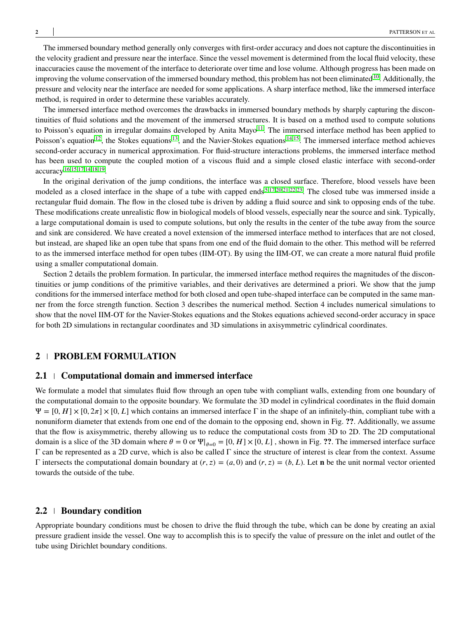The immersed boundary method generally only converges with first-order accuracy and does not capture the discontinuities in the velocity gradient and pressure near the interface. Since the vessel movement is determined from the local fluid velocity, these inaccuracies cause the movement of the interface to deteriorate over time and lose volume. Although progress has been made on improving the volume conservation of the immersed boundary method, this problem has not been eliminated  $^{10}$  $^{10}$  $^{10}$ . Additionally, the pressure and velocity near the interface are needed for some applications. A sharp interface method, like the immersed interface method, is required in order to determine these variables accurately.

The immersed interface method overcomes the drawbacks in immersed boundary methods by sharply capturing the discontinuities of fluid solutions and the movement of the immersed structures. It is based on a method used to compute solutions to Poisson's equation in irregular domains developed by Anita Mayo<sup>[11](#page-23-1)</sup>. The immersed interface method has been applied to Poisson's equation<sup>[12](#page-23-2)</sup>, the Stokes equations<sup>[13](#page-23-3)</sup>, and the Navier-Stokes equations<sup>[14](#page-23-4)[,15](#page-23-5)</sup>. The immersed interface method achieves second-order accuracy in numerical approximation. For fluid-structure interactions problems, the immersed interface method has been used to compute the coupled motion of a viscous fluid and a simple closed elastic interface with second-order accuracy[16](#page-23-6)[,15,](#page-23-5)[17,](#page-23-7)[14,](#page-23-4)[18](#page-23-8)[,19](#page-23-9) .

In the original derivation of the jump conditions, the interface was a closed surface. Therefore, blood vessels have been modeled as a closed interface in the shape of a tube with capped ends  $5,17,20,21,22,23$  $5,17,20,21,22,23$  $5,17,20,21,22,23$  $5,17,20,21,22,23$  $5,17,20,21,22,23$  $5,17,20,21,22,23$ . The closed tube was immersed inside a rectangular fluid domain. The flow in the closed tube is driven by adding a fluid source and sink to opposing ends of the tube. These modifications create unrealistic flow in biological models of blood vessels, especially near the source and sink. Typically, a large computational domain is used to compute solutions, but only the results in the center of the tube away from the source and sink are considered. We have created a novel extension of the immersed interface method to interfaces that are not closed, but instead, are shaped like an open tube that spans from one end of the fluid domain to the other. This method will be referred to as the immersed interface method for open tubes (IIM-OT). By using the IIM-OT, we can create a more natural fluid profile using a smaller computational domain.

Section 2 details the problem formation. In particular, the immersed interface method requires the magnitudes of the discontinuities or jump conditions of the primitive variables, and their derivatives are determined a priori. We show that the jump conditions for the immersed interface method for both closed and open tube-shaped interface can be computed in the same manner from the force strength function. Section 3 describes the numerical method. Section 4 includes numerical simulations to show that the novel IIM-OT for the Navier-Stokes equations and the Stokes equations achieved second-order accuracy in space for both 2D simulations in rectangular coordinates and 3D simulations in axisymmetric cylindrical coordinates.

#### **2 PROBLEM FORMULATION**

#### **2.1 Computational domain and immersed interface**

We formulate a model that simulates fluid flow through an open tube with compliant walls, extending from one boundary of the computational domain to the opposite boundary. We formulate the 3D model in cylindrical coordinates in the fluid domain  $\Psi = [0, H] \times [0, 2\pi] \times [0, L]$  which contains an immersed interface  $\Gamma$  in the shape of an infinitely-thin, compliant tube with a nonuniform diameter that extends from one end of the domain to the opposing end, shown in Fig. **??**. Additionally, we assume that the flow is axisymmetric, thereby allowing us to reduce the computational costs from 3D to 2D. The 2D computational domain is a slice of the 3D domain where  $\theta = 0$  or  $\Psi|_{\theta=0} = [0, H] \times [0, L]$ , shown in Fig. **??**. The immersed interface surface Γ can be represented as a 2D curve, which is also be called Γ since the structure of interest is clear from the context. Assume Γ intersects the computational domain boundary at  $(r, z) = (a, 0)$  and  $(r, z) = (b, L)$ . Let **n** be the unit normal vector oriented towards the outside of the tube.

#### **2.2 Boundary condition**

Appropriate boundary conditions must be chosen to drive the fluid through the tube, which can be done by creating an axial pressure gradient inside the vessel. One way to accomplish this is to specify the value of pressure on the inlet and outlet of the tube using Dirichlet boundary conditions.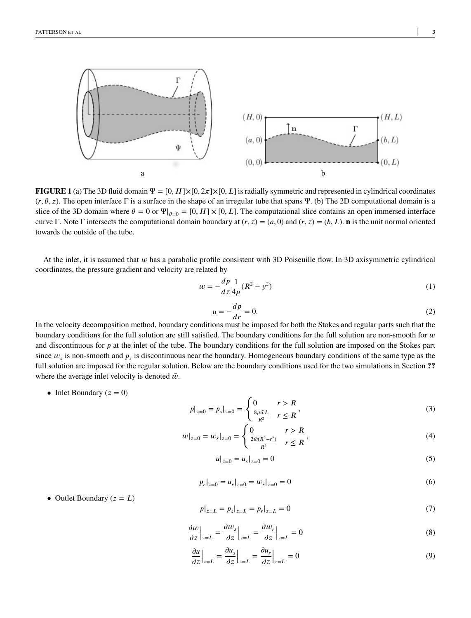

**FIGURE 1** (a) The 3D fluid domain  $\Psi = [0, H] \times [0, 2\pi] \times [0, L]$  is radially symmetric and represented in cylindrical coordinates (*𝑟, 𝜃, 𝑧*). The open interface Γ is a surface in the shape of an irregular tube that spans Ψ. (b) The 2D computational domain is a slice of the 3D domain where  $\theta = 0$  or  $\Psi|_{\theta=0} = [0, H] \times [0, L]$ . The computational slice contains an open immersed interface curve Γ. Note Γ intersects the computational domain boundary at (*𝑟, 𝑧*) = (*𝑎,* 0) and (*𝑟, 𝑧*) = (*𝑏, 𝐿*). **𝐧** is the unit normal oriented towards the outside of the tube.

At the inlet, it is assumed that  $w$  has a parabolic profile consistent with 3D Poiseuille flow. In 3D axisymmetric cylindrical coordinates, the pressure gradient and velocity are related by

$$
w = -\frac{dp}{dz}\frac{1}{4\mu}(R^2 - y^2)
$$
 (1)

$$
u = -\frac{dp}{dr} = 0.\t\t(2)
$$

In the velocity decomposition method, boundary conditions must be imposed for both the Stokes and regular parts such that the boundary conditions for the full solution are still satisfied. The boundary conditions for the full solution are non-smooth for *w* and discontinuous for  $p$  at the inlet of the tube. The boundary conditions for the full solution are imposed on the Stokes part since  $w_s$  is non-smooth and  $p_s$  is discontinuous near the boundary. Homogeneous boundary conditions of the same type as the full solution are imposed for the regular solution. Below are the boundary conditions used for the two simulations in Section **??** where the average inlet velocity is denoted  $\bar{w}$ .

• Inlet Boundary  $(z = 0)$ 

$$
p|_{z=0} = p_s|_{z=0} = \begin{cases} 0 & r > R \\ \frac{8\mu\bar{\nu}L}{R^2} & r \le R \end{cases},
$$
 (3)

$$
w|_{z=0} = w_s|_{z=0} = \begin{cases} 0 & r > R \\ \frac{2\bar{w}(R^2 - r^2)}{R^2} & r \le R \end{cases},
$$
 (4)

$$
u|_{z=0} = u_s|_{z=0} = 0
$$
\n<sup>(5)</sup>

$$
p_r|_{z=0} = u_r|_{z=0} = w_r|_{z=0} = 0
$$
\n<sup>(6)</sup>

• Outlet Boundary  $(z = L)$ 

$$
p|_{z=L} = p_s|_{z=L} = p_r|_{z=L} = 0
$$
\n(7)

$$
\frac{\partial w}{\partial z}\Big|_{z=L} = \frac{\partial w_s}{\partial z}\Big|_{z=L} = \frac{\partial w_r}{\partial z}\Big|_{z=L} = 0
$$
\n(8)

$$
\frac{\partial u}{\partial z}\Big|_{z=L} = \frac{\partial u_s}{\partial z}\Big|_{z=L} = \frac{\partial u_r}{\partial z}\Big|_{z=L} = 0\tag{9}
$$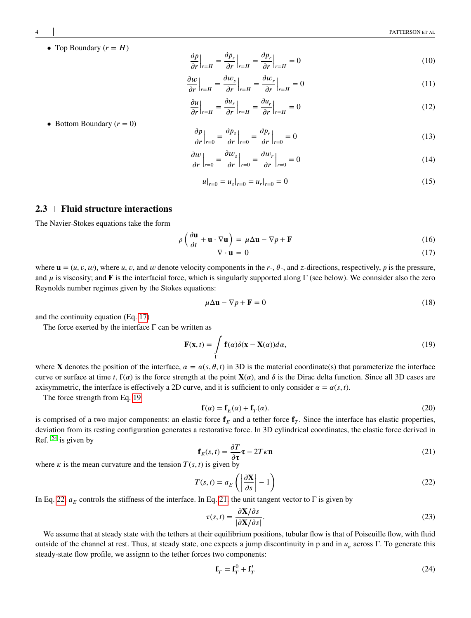• Top Boundary  $(r = H)$ 

$$
\frac{\partial p}{\partial r}\Big|_{r=H} = \frac{\partial p_s}{\partial r}\Big|_{r=H} = \frac{\partial p_r}{\partial r}\Big|_{r=H} = 0\tag{10}
$$

$$
\frac{\partial w}{\partial r}\Big|_{r=H} = \frac{\partial w_s}{\partial r}\Big|_{r=H} = \frac{\partial w_r}{\partial r}\Big|_{r=H} = 0\tag{11}
$$

$$
\left. \frac{\partial u}{\partial r} \right|_{r=H} = \left. \frac{\partial u_s}{\partial r} \right|_{r=H} = \left. \frac{\partial u_r}{\partial r} \right|_{r=H} = 0 \tag{12}
$$

• Bottom Boundary  $(r = 0)$ 

$$
\left. \frac{\partial p}{\partial r} \right|_{r=0} = \left. \frac{\partial p_s}{\partial r} \right|_{r=0} = \left. \frac{\partial p_r}{\partial r} \right|_{r=0} = 0 \tag{13}
$$

$$
\left. \frac{\partial w}{\partial r} \right|_{r=0} = \left. \frac{\partial w_s}{\partial r} \right|_{r=0} = \left. \frac{\partial w_r}{\partial r} \right|_{r=0} = 0 \tag{14}
$$

$$
u|_{r=0} = u_s|_{r=0} = u_r|_{r=0} = 0
$$
\n(15)

#### <span id="page-3-0"></span>**2.3 Fluid structure interactions**

The Navier-Stokes equations take the form

$$
\rho \left( \frac{\partial \mathbf{u}}{\partial t} + \mathbf{u} \cdot \nabla \mathbf{u} \right) = \mu \Delta \mathbf{u} - \nabla p + \mathbf{F}
$$
\n(16)

$$
\nabla \cdot \mathbf{u} = 0 \tag{17}
$$

where  $\mathbf{u} = (u, v, w)$ , where *u*, *v*, and *w* denote velocity components in the *r*-,  $\theta$ -, and *z*-directions, respectively, *p* is the pressure, and  $\mu$  is viscosity; and **F** is the interfacial force, which is singularly supported along Γ (see below). We connsider also the zero Reynolds number regimes given by the Stokes equations:

<span id="page-3-1"></span>
$$
\mu \Delta \mathbf{u} - \nabla p + \mathbf{F} = 0 \tag{18}
$$

and the continuity equation (Eq. [17\)](#page-3-0)

The force exerted by the interface  $\Gamma$  can be written as

$$
\mathbf{F}(\mathbf{x},t) = \int_{\Gamma} \mathbf{f}(\alpha)\delta(\mathbf{x} - \mathbf{X}(\alpha))d\alpha,
$$
 (19)

where **X** denotes the position of the interface,  $\alpha = \alpha(s, \theta, t)$  in 3D is the material coordinate(s) that parameterize the interface curve or surface at time *t*,  $f(\alpha)$  is the force strength at the point  $X(\alpha)$ , and  $\delta$  is the Dirac delta function. Since all 3D cases are axisymmetric, the interface is effectively a 2D curve, and it is sufficient to only consider  $\alpha = \alpha(s, t)$ .

The force strength from Eq. [19](#page-3-1)

$$
\mathbf{f}(\alpha) = \mathbf{f}_E(\alpha) + \mathbf{f}_T(\alpha). \tag{20}
$$

<span id="page-3-3"></span>is comprised of a two major components: an elastic force  $\mathbf{f}_E$  and a tether force  $\mathbf{f}_T$ . Since the interface has elastic properties, deviation from its resting configuration generates a restorative force. In 3D cylindrical coordinates, the elastic force derived in Ref.  $^{24}$  $^{24}$  $^{24}$  is given by

<span id="page-3-2"></span>
$$
\mathbf{f}_E(s,t) = \frac{\partial T}{\partial \tau} \tau - 2T\kappa \mathbf{n}
$$
\n(21)

where  $\kappa$  is the mean curvature and the tension  $T(s, t)$  is given by

$$
T(s,t) = a_E \left( \left| \frac{\partial \mathbf{X}}{\partial s} \right| - 1 \right) \tag{22}
$$

In Eq. [22,](#page-3-2)  $a_E$  controls the stiffness of the interface. In Eq. [21,](#page-3-3) the unit tangent vector to  $\Gamma$  is given by

$$
\tau(s,t) = \frac{\partial \mathbf{X}/\partial s}{|\partial \mathbf{X}/\partial s|}.\tag{23}
$$

We assume that at steady state with the tethers at their equilibrium positions, tubular flow is that of Poiseuille flow, with fluid outside of the channel at rest. Thus, at steady state, one expects a jump discontinuity in p and in *u<sub>n</sub>* across Γ. To generate this steady-state flow profile, we assignn to the tether forces two components:

$$
\mathbf{f}_T = \mathbf{f}_T^0 + \mathbf{f}_T' \tag{24}
$$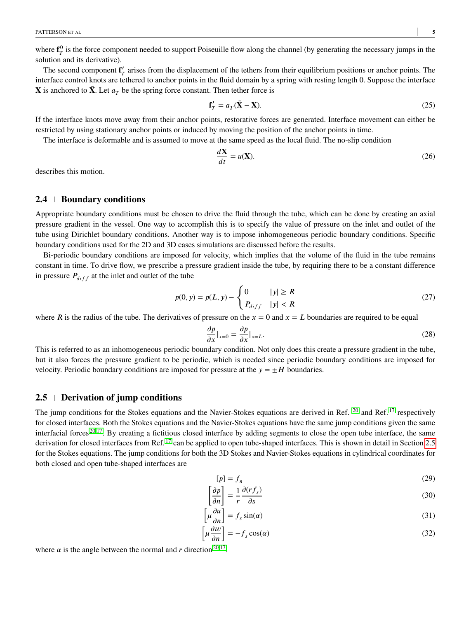where  $f_T^0$  is the force component needed to support Poiseuille flow along the channel (by generating the necessary jumps in the solution and its derivative).

The second component  $f'_T$  arises from the displacement of the tethers from their equilibrium positions or anchor points. The interface control knots are tethered to anchor points in the fluid domain by a spring with resting length 0. Suppose the interface  ${\bf X}$  is anchored to  $\bar{\bf X}$ . Let  $a_T$  be the spring force constant. Then tether force is

$$
\mathbf{f}'_T = a_T(\bar{\mathbf{X}} - \mathbf{X}).\tag{25}
$$

If the interface knots move away from their anchor points, restorative forces are generated. Interface movement can either be restricted by using stationary anchor points or induced by moving the position of the anchor points in time.

The interface is deformable and is assumed to move at the same speed as the local fluid. The no-slip condition

$$
\frac{d\mathbf{X}}{dt} = u(\mathbf{X}).\tag{26}
$$

describes this motion.

## **2.4 Boundary conditions**

Appropriate boundary conditions must be chosen to drive the fluid through the tube, which can be done by creating an axial pressure gradient in the vessel. One way to accomplish this is to specify the value of pressure on the inlet and outlet of the tube using Dirichlet boundary conditions. Another way is to impose inhomogeneous periodic boundary conditions. Specific boundary conditions used for the 2D and 3D cases simulations are discussed before the results.

Bi-periodic boundary conditions are imposed for velocity, which implies that the volume of the fluid in the tube remains constant in time. To drive flow, we prescribe a pressure gradient inside the tube, by requiring there to be a constant difference in pressure  $P_{diff}$  at the inlet and outlet of the tube

$$
p(0, y) = p(L, y) - \begin{cases} 0 & |y| \ge R \\ P_{diff} & |y| < R \end{cases}
$$
 (27)

where *R* is the radius of the tube. The derivatives of pressure on the  $x = 0$  and  $x = L$  boundaries are required to be equal

$$
\frac{\partial p}{\partial x}|_{x=0} = \frac{\partial p}{\partial x}|_{x=L}.
$$
\n(28)

This is referred to as an inhomogeneous periodic boundary condition. Not only does this create a pressure gradient in the tube, but it also forces the pressure gradient to be periodic, which is needed since periodic boundary conditions are imposed for velocity. Periodic boundary conditions are imposed for pressure at the  $y = \pm H$  boundaries.

#### <span id="page-4-0"></span>**2.5 Derivation of jump conditions**

The jump conditions for the Stokes equations and the Navier-Stokes equations are derived in Ref. <sup>[20](#page-23-10)</sup> and Ref. <sup>[17](#page-23-7)</sup> respectively for closed interfaces. Both the Stokes equations and the Navier-Stokes equations have the same jump conditions given the same interfacial forces  $20,17$  $20,17$ . By creating a fictitious closed interface by adding segments to close the open tube interface, the same derivation for closed interfaces from Ref.<sup>[17](#page-23-7)</sup> can be applied to open tube-shaped interfaces. This is shown in detail in Section [2.5](#page-4-0) for the Stokes equations. The jump conditions for both the 3D Stokes and Navier-Stokes equations in cylindrical coordinates for both closed and open tube-shaped interfaces are

$$
[p] = f_n \tag{29}
$$

$$
\left[\frac{\partial p}{\partial n}\right] = \frac{1}{r} \frac{\partial (rf_s)}{\partial s} \tag{30}
$$

$$
\left[\mu \frac{\partial u}{\partial n}\right] = f_s \sin(\alpha) \tag{31}
$$

$$
\left[\mu \frac{\partial w}{\partial n}\right] = -f_s \cos(\alpha) \tag{32}
$$

where  $\alpha$  is the angle between the normal and  $r$  direction<sup>[20](#page-23-10)[,17](#page-23-7)</sup>.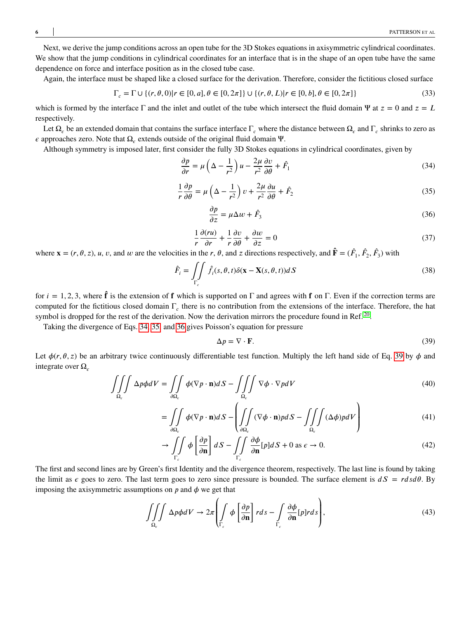Next, we derive the jump conditions across an open tube for the 3D Stokes equations in axisymmetric cylindrical coordinates. We show that the jump conditions in cylindrical coordinates for an interface that is in the shape of an open tube have the same dependence on force and interface position as in the closed tube case.

Again, the interface must be shaped like a closed surface for the derivation. Therefore, consider the fictitious closed surface

$$
\Gamma_c = \Gamma \cup \{(r, \theta, 0)|r \in [0, a], \theta \in [0, 2\pi] \} \cup \{(r, \theta, L)|r \in [0, b], \theta \in [0, 2\pi] \}
$$
\n(33)

which is formed by the interface  $\Gamma$  and the inlet and outlet of the tube which intersect the fluid domain Ψ at  $z = 0$  and  $z = L$ respectively.

Let  $\Omega_\epsilon$  be an extended domain that contains the surface interface  $\Gamma_c$  where the distance between  $\Omega_\epsilon$  and  $\Gamma_c$  shrinks to zero as  $\epsilon$  approaches zero. Note that  $\Omega_{\epsilon}$  extends outside of the original fluid domain Ψ.

<span id="page-5-2"></span><span id="page-5-1"></span>Although symmetry is imposed later, first consider the fully 3D Stokes equations in cylindrical coordinates, given by

$$
\frac{\partial p}{\partial r} = \mu \left( \Delta - \frac{1}{r^2} \right) u - \frac{2\mu}{r^2} \frac{\partial v}{\partial \theta} + \hat{F}_1 \tag{34}
$$

$$
\frac{1}{r}\frac{\partial p}{\partial \theta} = \mu \left(\Delta - \frac{1}{r^2}\right)v + \frac{2\mu}{r^2}\frac{\partial u}{\partial \theta} + \hat{F}_2
$$
\n(35)

<span id="page-5-0"></span>
$$
\frac{\partial p}{\partial z} = \mu \Delta w + \hat{F}_3 \tag{36}
$$

$$
\frac{1}{r}\frac{\partial(ru)}{\partial r} + \frac{1}{r}\frac{\partial v}{\partial \theta} + \frac{\partial w}{\partial z} = 0
$$
\n(37)

where  $\mathbf{x} = (r, \theta, z)$ , u, v, and w are the velocities in the r,  $\theta$ , and z directions respectively, and  $\mathbf{\hat{F}} = (\hat{F}_1, \hat{F}_2, \hat{F}_3)$  with

$$
\hat{F}_i = \iint\limits_{\Gamma_c} \hat{f}_i(s,\theta,t)\delta(\mathbf{x}-\mathbf{X}(s,\theta,t))dS
$$
\n(38)

for  $i = 1, 2, 3$ , where  $\hat{\bf{f}}$  is the extension of **f** which is supported on Γ and agrees with **f** on Γ. Even if the correction terms are computed for the fictitious closed domain Γ*<sup>𝑐</sup>* there is no contribution from the extensions of the interface. Therefore, the hat symbol is dropped for the rest of the derivation. Now the derivation mirrors the procedure found in Ref.<sup>[20](#page-23-10)</sup>.

Taking the divergence of Eqs. [34,](#page-5-0) [35,](#page-5-1) and [36](#page-5-2) gives Poisson's equation for pressure

<span id="page-5-3"></span>
$$
\Delta p = \nabla \cdot \mathbf{F}.\tag{39}
$$

Let  $\phi(r, \theta, z)$  be an arbitrary twice continuously differentiable test function. Multiply the left hand side of Eq. [39](#page-5-3) by  $\phi$  and integrate over  $Ω<sub>c</sub>$ 

$$
\iiint_{\Omega_{\epsilon}} \Delta p \phi dV = \iint_{\partial \Omega_{\epsilon}} \phi (\nabla p \cdot \mathbf{n}) dS - \iiint_{\Omega_{\epsilon}} \nabla \phi \cdot \nabla p dV
$$
\n(40)

$$
= \iint\limits_{\partial\Omega_{\epsilon}} \phi(\nabla p \cdot \mathbf{n}) dS - \left( \iint\limits_{\partial\Omega_{\epsilon}} (\nabla \phi \cdot \mathbf{n}) p dS - \iint\limits_{\Omega_{\epsilon}} (\Delta \phi) p dV \right) \tag{41}
$$

$$
\to \iint_{\Gamma_c} \phi \left[ \frac{\partial p}{\partial \mathbf{n}} \right] dS - \iint_{\Gamma_c} \frac{\partial \phi}{\partial \mathbf{n}} [p] dS + 0 \text{ as } \epsilon \to 0. \tag{42}
$$

The first and second lines are by Green's first Identity and the divergence theorem, respectively. The last line is found by taking the limit as  $\epsilon$  goes to zero. The last term goes to zero since pressure is bounded. The surface element is  $dS = r ds d\theta$ . By imposing the axisymmetric assumptions on  $p$  and  $\phi$  we get that

$$
\iiint_{\Omega_e} \Delta p \phi dV \to 2\pi \left( \int_{\Gamma_e} \phi \left[ \frac{\partial p}{\partial \mathbf{n}} \right] r ds - \int_{\Gamma_e} \frac{\partial \phi}{\partial \mathbf{n}} [p] r ds \right),\tag{43}
$$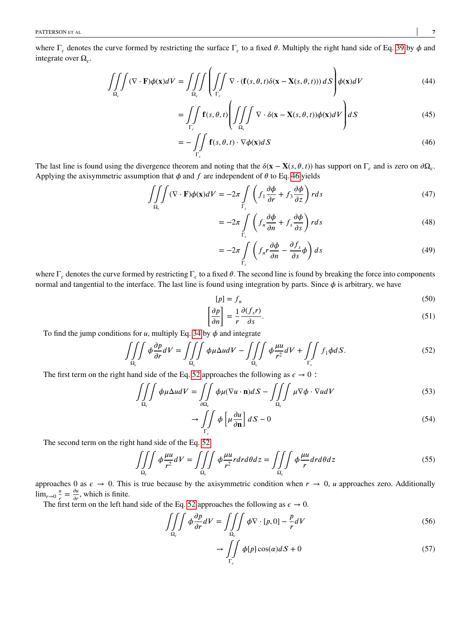where  $\Gamma_c$  denotes the curve formed by restricting the surface  $\Gamma_c$  to a fixed  $\theta$ . Multiply the right hand side of Eq. [39](#page-5-3) by  $\phi$  and integrate over  $Ω<sub>ε</sub>$ .

$$
\iiint_{\Omega_{\epsilon}} (\nabla \cdot \mathbf{F}) \phi(\mathbf{x}) dV = \iiint_{\Omega_{\epsilon}} \left( \iint_{\Gamma_{c}} \nabla \cdot (\mathbf{f}(s, \theta, t) \delta(\mathbf{x} - \mathbf{X}(s, \theta, t))) dS \right) \phi(\mathbf{x}) dV
$$
\n(44)

$$
= \iint\limits_{\Gamma_e} \mathbf{f}(s,\theta,t) \left( \iint\limits_{\Omega_e} \int \nabla \cdot \delta(\mathbf{x} - \mathbf{X}(s,\theta,t)) \phi(\mathbf{x}) dV \right) dS \tag{45}
$$

$$
= -\iint\limits_{\Gamma_c} \mathbf{f}(s,\theta,t) \cdot \nabla \phi(\mathbf{x}) dS \tag{46}
$$

The last line is found using the divergence theorem and noting that the  $\delta(\mathbf{x} - \mathbf{X}(s, \theta, t))$  has support on  $\Gamma_c$  and is zero on  $\partial \Omega_c$ . Applying the axisymmetric assumption that  $\phi$  and  $f$  are independent of  $\theta$  to Eq. [46](#page-6-0) yields

$$
\iiint\limits_{\Omega_{\epsilon}} (\nabla \cdot \mathbf{F}) \phi(\mathbf{x}) dV = -2\pi \int\limits_{\Gamma_{\epsilon}} \left( f_1 \frac{\partial \phi}{\partial r} + f_3 \frac{\partial \phi}{\partial z} \right) r ds \tag{47}
$$

<span id="page-6-0"></span>
$$
= -2\pi \int_{\Gamma_c} \left( f_n \frac{\partial \phi}{\partial n} + f_s \frac{\partial \phi}{\partial s} \right) r ds \tag{48}
$$

$$
= -2\pi \int_{\Gamma_c} \left( f_n r \frac{\partial \phi}{\partial n} - \frac{\partial f_s}{\partial s} \phi \right) ds \tag{49}
$$

where Γ<sub>*c*</sub> denotes the curve formed by restricting Γ<sub>*c*</sub> to a fixed  $\theta$ . The second line is found by breaking the force into components normal and tangential to the interface. The last line is found using integration by parts. Since  $\phi$  is arbitrary, we have

<span id="page-6-1"></span>
$$
[p] = f_n \tag{50}
$$

$$
\left[\frac{\partial p}{\partial n}\right] = \frac{1}{r} \frac{\partial (f_s r)}{\partial s}.
$$
\n(51)

To find the jump conditions for  $u$ , multiply Eq. [34](#page-5-0) by  $\phi$  and integrate

$$
\iiint_{\Omega_{\epsilon}} \phi \frac{\partial p}{\partial r} dV = \iiint_{\Omega_{\epsilon}} \phi \mu \Delta u dV - \iiint_{\Omega_{\epsilon}} \phi \frac{\mu u}{r^2} dV + \iint_{\Gamma_{\epsilon}} f_1 \phi dS. \tag{52}
$$

The first term on the right hand side of the Eq. [52](#page-6-1) approaches the following as  $\epsilon \to 0$ :

$$
\iiint_{\Omega_{\epsilon}} \phi \mu \Delta u dV = \iint_{\partial \Omega_{\epsilon}} \phi \mu (\nabla u \cdot \mathbf{n}) dS - \iiint_{\Omega_{\epsilon}} \mu \nabla \phi \cdot \nabla u dV
$$
\n(53)

$$
\to \iint\limits_{\Gamma_c} \phi \left[ \mu \frac{\partial u}{\partial \mathbf{n}} \right] dS - 0 \tag{54}
$$

The second term on the right hand side of the Eq. [52](#page-6-1)

$$
\iiint_{\Omega_{\epsilon}} \phi \frac{\mu u}{r^2} dV = \iiint_{\Omega_{\epsilon}} \phi \frac{\mu u}{r^2} r dr d\theta dz = \iiint_{\Omega_{\epsilon}} \phi \frac{\mu u}{r} dr d\theta dz
$$
\n(55)

approaches 0 as  $\epsilon \to 0$ . This is true because by the axisymmetric condition when  $r \to 0$ , *u* approaches zero. Additionally  $\lim_{r\to 0} \frac{u}{r}$  $\frac{u}{r} = \frac{\partial u}{\partial r}$  $\frac{\partial u}{\partial r}$ , which is finite.

The first term on the left hand side of the Eq. [52](#page-6-1) approaches the following as  $\epsilon \to 0$ .

$$
\iiint\limits_{\Omega_{\epsilon}} \phi \frac{\partial p}{\partial r} dV = \iiint\limits_{\Omega_{\epsilon}} \phi \nabla \cdot [p, 0] - \frac{p}{r} dV \tag{56}
$$

$$
\to \iint\limits_{\Gamma_c} \phi[p] \cos(\alpha) dS + 0 \tag{57}
$$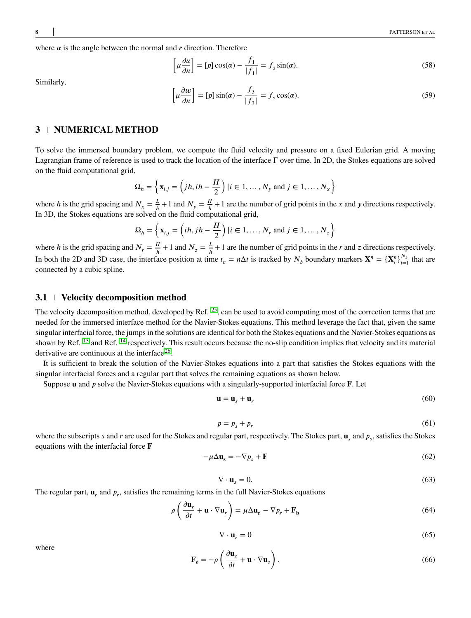where  $\alpha$  is the angle between the normal and  $r$  direction. Therefore

$$
\left[\mu \frac{\partial u}{\partial n}\right] = [p] \cos(\alpha) - \frac{f_1}{|f_1|} = f_s \sin(\alpha). \tag{58}
$$

Similarly,

$$
\left[\mu \frac{\partial w}{\partial n}\right] = [p] \sin(\alpha) - \frac{f_3}{|f_3|} = f_s \cos(\alpha). \tag{59}
$$

#### **3 NUMERICAL METHOD**

To solve the immersed boundary problem, we compute the fluid velocity and pressure on a fixed Eulerian grid. A moving Lagrangian frame of reference is used to track the location of the interface Γ over time. In 2D, the Stokes equations are solved on the fluid computational grid,

$$
\Omega_h = \left\{ \mathbf{x}_{i,j} = \left( jh, ih - \frac{H}{2} \right) | i \in 1, ..., N_y \text{ and } j \in 1, ..., N_x \right\}
$$

where *h* is the grid spacing and  $N_x = \frac{L}{h}$  $\frac{L}{h} + 1$  and  $N_y = \frac{H}{h}$  $\frac{h}{h}$  + 1 are the number of grid points in the *x* and *y* directions respectively. In 3D, the Stokes equations are solved on the fluid computational grid,

$$
\Omega_h = \left\{ \mathbf{x}_{i,j} = \left( ih, jh - \frac{H}{2} \right) | i \in 1, \dots, N_r \text{ and } j \in 1, \dots, N_z \right\}
$$

where *h* is the grid spacing and  $N_r = \frac{H}{h}$  $\frac{H}{h} + 1$  and  $N_z = \frac{L}{h}$  $\frac{L}{h}$  + 1 are the number of grid points in the *r* and *z* directions respectively. In both the 2D and 3D case, the interface position at time  $t_n = n\Delta t$  is tracked by  $N_b$  boundary markers  $\mathbf{X}^n = {\mathbf{X}_i^n}_{i=1}^{N_b}$  that are connected by a cubic spline.

## **3.1 Velocity decomposition method**

The velocity decomposition method, developed by Ref.  $^{25}$  $^{25}$  $^{25}$ , can be used to avoid computing most of the correction terms that are needed for the immersed interface method for the Navier-Stokes equations. This method leverage the fact that, given the same singular interfacial force, the jumps in the solutions are identical for both the Stokes equations and the Navier-Stokes equations as shown by Ref. <sup>[13](#page-23-3)</sup> and Ref. <sup>[14](#page-23-4)</sup> respectively. This result occurs because the no-slip condition implies that velocity and its material derivative are continuous at the interface<sup>[26](#page-23-16)</sup>.

It is sufficient to break the solution of the Navier-Stokes equations into a part that satisfies the Stokes equations with the singular interfacial forces and a regular part that solves the remaining equations as shown below.

Suppose **u** and *p* solve the Navier-Stokes equations with a singularly-supported interfacial force **F**. Let

$$
\mathbf{u} = \mathbf{u}_s + \mathbf{u}_r \tag{60}
$$

$$
p = p_s + p_r \tag{61}
$$

where the subscripts *s* and *r* are used for the Stokes and regular part, respectively. The Stokes part,  $\mathbf{u}_s$  and  $p_s$ , satisfies the Stokes equations with the interfacial force **F** 

<span id="page-7-0"></span>
$$
-\mu \Delta \mathbf{u}_s = -\nabla p_s + \mathbf{F} \tag{62}
$$

<span id="page-7-1"></span>
$$
\nabla \cdot \mathbf{u}_s = 0. \tag{63}
$$

The regular part,  $\mathbf{u}_r$ , and  $p_r$ , satisfies the remaining terms in the full Navier-Stokes equations

$$
\rho \left( \frac{\partial \mathbf{u}_r}{\partial t} + \mathbf{u} \cdot \nabla \mathbf{u}_r \right) = \mu \Delta \mathbf{u}_r - \nabla p_r + \mathbf{F_b}
$$
\n(64)

$$
\nabla \cdot \mathbf{u}_r = 0 \tag{65}
$$

$$
\mathbf{F}_b = -\rho \left( \frac{\partial \mathbf{u}_s}{\partial t} + \mathbf{u} \cdot \nabla \mathbf{u}_s \right). \tag{66}
$$

<span id="page-7-2"></span>where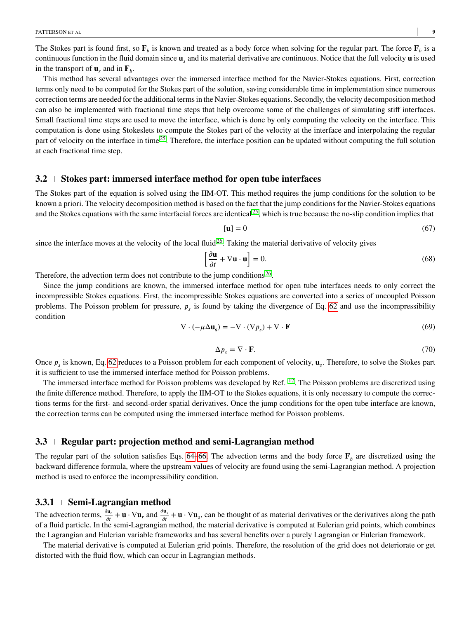The Stokes part is found first, so  $\mathbf{F}_b$  is known and treated as a body force when solving for the regular part. The force  $\mathbf{F}_b$  is a continuous function in the fluid domain since  $\mathbf{u}_s$  and its material derivative are continuous. Notice that the full velocity  $\mathbf{u}$  is used in the transport of  $\mathbf{u}_r$  and in  $\mathbf{F}_b$ .

This method has several advantages over the immersed interface method for the Navier-Stokes equations. First, correction terms only need to be computed for the Stokes part of the solution, saving considerable time in implementation since numerous correction terms are needed for the additional terms in the Navier-Stokes equations. Secondly, the velocity decomposition method can also be implemented with fractional time steps that help overcome some of the challenges of simulating stiff interfaces. Small fractional time steps are used to move the interface, which is done by only computing the velocity on the interface. This computation is done using Stokeslets to compute the Stokes part of the velocity at the interface and interpolating the regular part of velocity on the interface in time<sup>[25](#page-23-15)</sup>. Therefore, the interface position can be updated without computing the full solution at each fractional time step.

#### **3.2 Stokes part: immersed interface method for open tube interfaces**

The Stokes part of the equation is solved using the IIM-OT. This method requires the jump conditions for the solution to be known a priori. The velocity decomposition method is based on the fact that the jump conditions for the Navier-Stokes equations and the Stokes equations with the same interfacial forces are identical  $25$ , which is true because the no-slip condition implies that

$$
[\mathbf{u}] = 0 \tag{67}
$$

since the interface moves at the velocity of the local fluid<sup>[26](#page-23-16)</sup>. Taking the material derivative of velocity gives

$$
\left[\frac{\partial \mathbf{u}}{\partial t} + \nabla \mathbf{u} \cdot \mathbf{u}\right] = 0.
$$
\n(68)

Therefore, the advection term does not contribute to the jump conditions<sup>[26](#page-23-16)</sup>.

Since the jump conditions are known, the immersed interface method for open tube interfaces needs to only correct the incompressible Stokes equations. First, the incompressible Stokes equations are converted into a series of uncoupled Poisson problems. The Poisson problem for pressure,  $p_s$  is found by taking the divergence of Eq. [62](#page-7-0) and use the incompressibility condition

$$
\nabla \cdot (-\mu \Delta \mathbf{u}_s) = -\nabla \cdot (\nabla p_s) + \nabla \cdot \mathbf{F}
$$
\n(69)

$$
\Delta p_s = \nabla \cdot \mathbf{F}.\tag{70}
$$

Once  $p_s$  is known, Eq. [62](#page-7-0) reduces to a Poisson problem for each component of velocity,  $\mathbf{u}_s$ . Therefore, to solve the Stokes part it is sufficient to use the immersed interface method for Poisson problems.

The immersed interface method for Poisson problems was developed by Ref.  $^{12}$  $^{12}$  $^{12}$ . The Poisson problems are discretized using the finite difference method. Therefore, to apply the IIM-OT to the Stokes equations, it is only necessary to compute the corrections terms for the first- and second-order spatial derivatives. Once the jump conditions for the open tube interface are known, the correction terms can be computed using the immersed interface method for Poisson problems.

#### **3.3 Regular part: projection method and semi-Lagrangian method**

The regular part of the solution satisfies Eqs.  $64-66$ . The advection terms and the body force  $\mathbf{F}_b$  are discretized using the backward difference formula, where the upstream values of velocity are found using the semi-Lagrangian method. A projection method is used to enforce the incompressibility condition.

### **3.3.1 Semi-Lagrangian method**

The advection terms,  $\frac{\partial \mathbf{u}_r}{\partial t} + \mathbf{u} \cdot \nabla \mathbf{u}_r$  and  $\frac{\partial \mathbf{u}_s}{\partial t} + \mathbf{u} \cdot \nabla \mathbf{u}_s$ , can be thought of as material derivatives or the derivatives along the path of a fluid particle. In the semi-Lagrangian method, the material derivative is computed at Eulerian grid points, which combines the Lagrangian and Eulerian variable frameworks and has several benefits over a purely Lagrangian or Eulerian framework.

The material derivative is computed at Eulerian grid points. Therefore, the resolution of the grid does not deteriorate or get distorted with the fluid flow, which can occur in Lagrangian methods.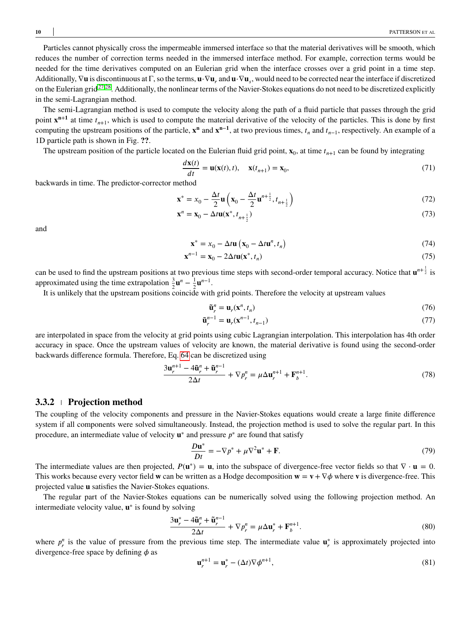Particles cannot physically cross the impermeable immersed interface so that the material derivatives will be smooth, which reduces the number of correction terms needed in the immersed interface method. For example, correction terms would be needed for the time derivatives computed on an Eulerian grid when the interface crosses over a grid point in a time step. Additionally, ∇**𝐮**is discontinuous at Γ, so the terms,**𝐮**⋅∇**𝐮***<sup>𝑟</sup>* and**𝐮**⋅∇**𝐮***<sup>𝑠</sup>* , would need to be corrected near the interface if discretized on the Eulerian grid<sup>[27](#page-23-17)[,28](#page-23-18)</sup>. Additionally, the nonlinear terms of the Navier-Stokes equations do not need to be discretized explicitly in the semi-Lagrangian method.

The semi-Lagrangian method is used to compute the velocity along the path of a fluid particle that passes through the grid point  $\mathbf{x}^{n+1}$  at time  $t_{n+1}$ , which is used to compute the material derivative of the velocity of the particles. This is done by first computing the upstream positions of the particle,  $\mathbf{x}^n$  and  $\mathbf{x}^{n-1}$ , at two previous times,  $t_n$  and  $t_{n-1}$ , respectively. An example of a 1D particle path is shown in Fig. **??**.

The upstream position of the particle located on the Eulerian fluid grid point,  $\mathbf{x}_0$ , at time  $t_{n+1}$  can be found by integrating

$$
\frac{d\mathbf{x}(t)}{dt} = \mathbf{u}(\mathbf{x}(t), t), \quad \mathbf{x}(t_{n+1}) = \mathbf{x}_0,\tag{71}
$$

backwards in time. The predictor-corrector method

$$
\mathbf{x}^* = x_0 - \frac{\Delta t}{2} \mathbf{u} \left( \mathbf{x}_0 - \frac{\Delta t}{2} \mathbf{u}^{n + \frac{1}{2}}, t_{n + \frac{1}{2}} \right)
$$
(72)

$$
\mathbf{x}^n = \mathbf{x}_0 - \Delta t \mathbf{u}(\mathbf{x}^*, t_{n + \frac{1}{2}}) \tag{73}
$$

and

$$
\mathbf{x}^* = x_0 - \Delta t \mathbf{u} \left( \mathbf{x}_0 - \Delta t \mathbf{u}^n, t_n \right) \tag{74}
$$

$$
\mathbf{x}^{n-1} = \mathbf{x}_0 - 2\Delta t \mathbf{u}(\mathbf{x}^*, t_n) \tag{75}
$$

can be used to find the upstream positions at two previous time steps with second-order temporal accuracy. Notice that  $u^{n+\frac{1}{2}}$  is approximated using the time extrapolation  $\frac{3}{2}$ **u**<sup>n</sup> –  $\frac{1}{2}$ **u**<sup>n-1</sup>.

It is unlikely that the upstream positions coincide with grid points. Therefore the velocity at upstream values

$$
\tilde{\mathbf{u}}_r^n = \mathbf{u}_r(\mathbf{x}^n, t_n) \tag{76}
$$

$$
\tilde{\mathbf{u}}_r^{n-1} = \mathbf{u}_r(\mathbf{x}^{n-1}, t_{n-1})
$$
\n(77)

are interpolated in space from the velocity at grid points using cubic Lagrangian interpolation. This interpolation has 4th order accuracy in space. Once the upstream values of velocity are known, the material derivative is found using the second-order backwards difference formula. Therefore, Eq. [64](#page-7-1) can be discretized using

$$
\frac{3\mathbf{u}_r^{n+1} - 4\tilde{\mathbf{u}}_r^n + \tilde{\mathbf{u}}_r^{n-1}}{2\Delta t} + \nabla p_r^n = \mu \Delta \mathbf{u}_r^{n+1} + \mathbf{F}_b^{n+1}.
$$
\n(78)

#### **3.3.2 Projection method**

The coupling of the velocity components and pressure in the Navier-Stokes equations would create a large finite difference system if all components were solved simultaneously. Instead, the projection method is used to solve the regular part. In this procedure, an intermediate value of velocity  $\mathbf{u}^*$  and pressure  $p^*$  are found that satisfy

$$
\frac{D\mathbf{u}^*}{Dt} = -\nabla p^* + \mu \nabla^2 \mathbf{u}^* + \mathbf{F}.\tag{79}
$$

The intermediate values are then projected,  $P(\mathbf{u}^*) = \mathbf{u}$ , into the subspace of divergence-free vector fields so that  $\nabla \cdot \mathbf{u} = 0$ . This works because every vector field **w** can be written as a Hodge decomposition  $\mathbf{w} = \mathbf{v} + \nabla \phi$  where **v** is divergence-free. This projected value **u** satisfies the Navier-Stokes equations.

The regular part of the Navier-Stokes equations can be numerically solved using the following projection method. An intermediate velocity value,  $\mathbf{u}^*$  is found by solving

$$
\frac{3\mathbf{u}_r^* - 4\tilde{\mathbf{u}}_r^n + \tilde{\mathbf{u}}_r^{n-1}}{2\Delta t} + \nabla p_r^n = \mu \Delta \mathbf{u}_r^* + \mathbf{F}_b^{n+1}.
$$
\n(80)

where  $p_r^n$  is the value of pressure from the previous time step. The intermediate value  $\mathbf{u}_r^*$  is approximately projected into divergence-free space by defining  $\phi$  as

$$
\mathbf{u}_r^{n+1} = \mathbf{u}_r^* - (\Delta t)\nabla \phi^{n+1},\tag{81}
$$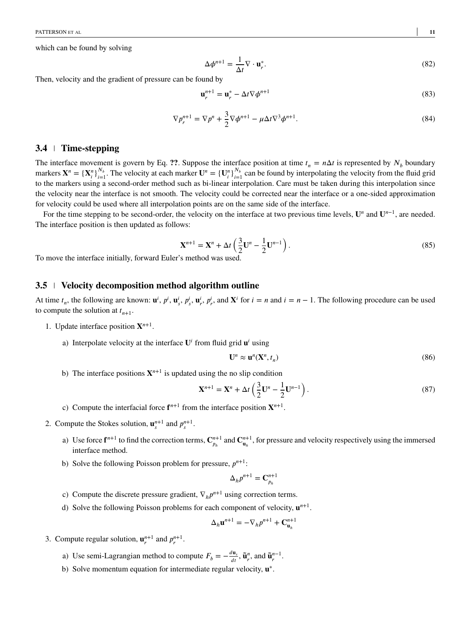which can be found by solving

$$
\Delta \phi^{n+1} = \frac{1}{\Delta t} \nabla \cdot \mathbf{u}_r^*.
$$
 (82)

Then, velocity and the gradient of pressure can be found by

$$
\mathbf{u}_r^{n+1} = \mathbf{u}_r^* - \Delta t \nabla \phi^{n+1} \tag{83}
$$

$$
\nabla p_r^{n+1} = \nabla p^n + \frac{3}{2} \nabla \phi^{n+1} - \mu \Delta t \nabla^3 \phi^{n+1}.
$$
\n(84)

#### **3.4 Time-stepping**

The interface movement is govern by Eq. ??. Suppose the interface position at time  $t_n = n\Delta t$  is represented by  $N_b$  boundary markers  $X^n = {X_i^n}_{i=1}^{N_b}$ . The velocity at each marker  $U^n = {U_i^n}_{i=1}^{N_b}$  can be found by interpolating the velocity from the fluid grid to the markers using a second-order method such as bi-linear interpolation. Care must be taken during this interpolation since the velocity near the interface is not smooth. The velocity could be corrected near the interface or a one-sided approximation for velocity could be used where all interpolation points are on the same side of the interface.

For the time stepping to be second-order, the velocity on the interface at two previous time levels,  $\mathbf{U}^n$  and  $\mathbf{U}^{n-1}$ , are needed. The interface position is then updated as follows:

$$
\mathbf{X}^{n+1} = \mathbf{X}^n + \Delta t \left( \frac{3}{2} \mathbf{U}^n - \frac{1}{2} \mathbf{U}^{n-1} \right). \tag{85}
$$

To move the interface initially, forward Euler's method was used.

### **3.5 Velocity decomposition method algorithm outline**

At time  $t_n$ , the following are known:  $\mathbf{u}^i$ ,  $p^i$ ,  $\mathbf{u}^i_s$ ,  $p^i_s$ ,  $\mathbf{u}^i_r$ ,  $p^i_r$ , and  $\mathbf{X}^i$  for  $i = n$  and  $i = n - 1$ . The following procedure can be used to compute the solution at  $t_{n+1}$ .

- 1. Update interface position  $X^{n+1}$ .
	- a) Interpolate velocity at the interface  $U^i$  from fluid grid  $\mathbf{u}^i$  using

$$
\mathbf{U}^n \approx \mathbf{u}^n(\mathbf{X}^n, t_n) \tag{86}
$$

b) The interface positions  $X^{n+1}$  is updated using the no slip condition

$$
\mathbf{X}^{n+1} = \mathbf{X}^n + \Delta t \left( \frac{3}{2} \mathbf{U}^n - \frac{1}{2} \mathbf{U}^{n-1} \right). \tag{87}
$$

- c) Compute the interfacial force  $f^{n+1}$  from the interface position  $X^{n+1}$ .
- 2. Compute the Stokes solution,  $\mathbf{u}_s^{n+1}$  and  $p_s^{n+1}$ .
	- a) Use force  $f^{n+1}$  to find the correction terms,  $C_{p_h}^{n+1}$  and  $C_{u_h}^{n+1}$ , for pressure and velocity respectively using the immersed interface method.
	- b) Solve the following Poisson problem for pressure,  $p^{n+1}$ :

$$
\Delta_h p^{n+1} = \mathbf{C}_{p_h}^{n+1}
$$

- c) Compute the discrete pressure gradient,  $\nabla_h p^{n+1}$  using correction terms.
- d) Solve the following Poisson problems for each component of velocity,  $\mathbf{u}^{n+1}$ .

$$
\Delta_h \mathbf{u}^{n+1} = -\nabla_h p^{n+1} + \mathbf{C}_{\mathbf{u}_h}^{n+1}
$$

- 3. Compute regular solution,  $\mathbf{u}_r^{n+1}$  and  $p_r^{n+1}$ .
	- a) Use semi-Lagrangian method to compute  $F_b = -\frac{d\mathbf{u}_s}{dt}$  $\frac{d\mathbf{u}_s}{dt}$ ,  $\tilde{\mathbf{u}}_r^n$ , and  $\tilde{\mathbf{u}}_r^{n-1}$ .
	- b) Solve momentum equation for intermediate regular velocity,  $\mathbf{u}^*$ .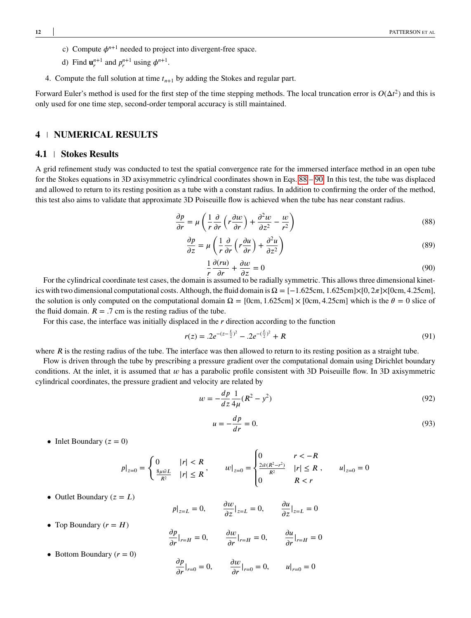- c) Compute  $\phi^{n+1}$  needed to project into divergent-free space.
- d) Find  $\mathbf{u}_r^{n+1}$  and  $p_r^{n+1}$  using  $\phi^{n+1}$ .
- 4. Compute the full solution at time  $t_{n+1}$  by adding the Stokes and regular part.

Forward Euler's method is used for the first step of the time stepping methods. The local truncation error is  $O(\Delta t^2)$  and this is only used for one time step, second-order temporal accuracy is still maintained.

# **4 NUMERICAL RESULTS**

## **4.1 Stokes Results**

<span id="page-11-0"></span>A grid refinement study was conducted to test the spatial convergence rate for the immersed interface method in an open tube for the Stokes equations in 3D axisymmetric cylindrical coordinates shown in Eqs. [88](#page-11-0) – [90.](#page-11-1) In this test, the tube was displaced and allowed to return to its resting position as a tube with a constant radius. In addition to confirming the order of the method, this test also aims to validate that approximate 3D Poiseuille flow is achieved when the tube has near constant radius.

$$
\frac{\partial p}{\partial r} = \mu \left( \frac{1}{r} \frac{\partial}{\partial r} \left( r \frac{\partial w}{\partial r} \right) + \frac{\partial^2 w}{\partial z^2} - \frac{w}{r^2} \right)
$$
(88)

$$
\frac{\partial p}{\partial z} = \mu \left( \frac{1}{r} \frac{\partial}{\partial r} \left( r \frac{\partial u}{\partial r} \right) + \frac{\partial^2 u}{\partial z^2} \right)
$$
(89)

$$
\frac{1}{r}\frac{\partial(ru)}{\partial r} + \frac{\partial w}{\partial z} = 0\tag{90}
$$

<span id="page-11-1"></span>For the cylindrical coordinate test cases, the domain is assumed to be radially symmetric. This allows three dimensional kinetics with two dimensional computational costs. Although, the fluid domain is  $\Omega = [-1.625cm, 1.625cm] \times [0, 2\pi] \times [0, 4.25cm]$ , the solution is only computed on the computational domain  $\Omega = [0 \text{cm}, 1.625 \text{cm}] \times [0 \text{cm}, 4.25 \text{cm}]$  which is the  $\theta = 0$  slice of the fluid domain.  $R = .7$  cm is the resting radius of the tube.

For this case, the interface was initially displaced in the *r* direction according to the function

$$
r(z) = .2e^{-(z-\frac{L}{2})^2} - .2e^{-(\frac{L}{2})^2} + R
$$
\n(91)

where  $R$  is the resting radius of the tube. The interface was then allowed to return to its resting position as a straight tube.

Flow is driven through the tube by prescribing a pressure gradient over the computational domain using Dirichlet boundary conditions. At the inlet, it is assumed that  $w$  has a parabolic profile consistent with 3D Poiseuille flow. In 3D axisymmetric cylindrical coordinates, the pressure gradient and velocity are related by

$$
w = -\frac{dp}{dz}\frac{1}{4\mu}(R^2 - y^2)
$$
\n(92)

$$
u = -\frac{dp}{dr} = 0.\t\t(93)
$$

• Inlet Boundary  $(z = 0)$ 

$$
p|_{z=0} = \begin{cases} 0 & |r| < R \\ \frac{8\mu\bar{w}L}{R^2} & |r| \le R \end{cases}, \qquad w|_{z=0} = \begin{cases} 0 & r < -R \\ \frac{2\bar{w}(R^2 - r^2)}{R^2} & |r| \le R \\ 0 & R < r \end{cases}, \qquad u|_{z=0} = 0
$$

• Outlet Boundary  $(z = L)$ 

• Top Boundary  $(r = H)$ 

|                                           | $ p _{z=L} = 0,$ $\frac{\partial w}{\partial z} _{z=L} = 0,$ $\frac{\partial u}{\partial z} _{z=L} = 0$ |  |
|-------------------------------------------|---------------------------------------------------------------------------------------------------------|--|
| $\frac{\partial p}{\partial r} _{r=H}=0,$ | $\frac{\partial w}{\partial r} _{r=H} = 0, \qquad \frac{\partial u}{\partial r} _{r=H} = 0$             |  |

• Bottom Boundary  $(r = 0)$ 

$$
\frac{\partial p}{\partial r}|_{r=0} = 0, \qquad \frac{\partial w}{\partial r}|_{r=0} = 0, \qquad u|_{r=0} = 0
$$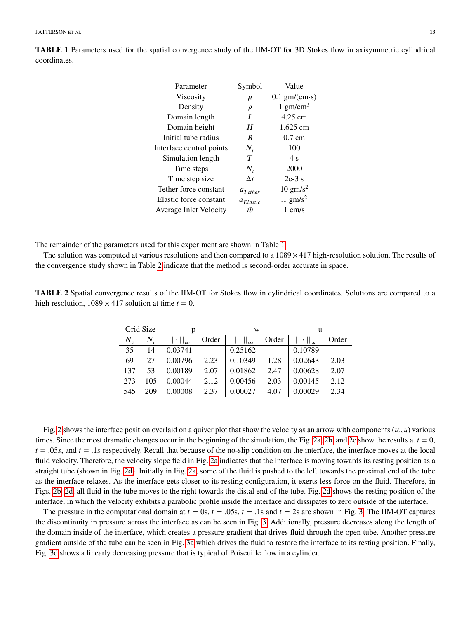| Parameter                | Symbol        | Value                |
|--------------------------|---------------|----------------------|
| Viscosity                | $\mu$         | $0.1$ gm/(cm·s)      |
| Density                  | $\rho$        | 1 gm/cm <sup>3</sup> |
| Domain length            | L             | 4.25 cm              |
| Domain height            | H             | $1.625$ cm           |
| Initial tube radius      | R             | $0.7 \text{ cm}$     |
| Interface control points | $N_h$         | 100                  |
| Simulation length        | T             | 4 s                  |
| Time steps               | $N_{t}$       | 2000                 |
| Time step size           | $\Delta t$    | $2e-3s$              |
| Tether force constant    | $a$ Tether    | $10 \text{ gm/s}^2$  |
| Elastic force constant   | $a_{Elastic}$ | .1 $\text{gm/s}^2$   |
| Average Inlet Velocity   | ū             | 1 cm/s               |

<span id="page-12-0"></span>**TABLE 1** Parameters used for the spatial convergence study of the IIM-OT for 3D Stokes flow in axisymmetric cylindrical coordinates.

The remainder of the parameters used for this experiment are shown in Table [1.](#page-12-0)

The solution was computed at various resolutions and then compared to a  $1089 \times 417$  high-resolution solution. The results of the convergence study shown in Table [2](#page-12-1) indicate that the method is second-order accurate in space.

<span id="page-12-1"></span>**TABLE 2** Spatial convergence results of the IIM-OT for Stokes flow in cylindrical coordinates. Solutions are compared to a high resolution,  $1089 \times 417$  solution at time  $t = 0$ .

|                | Grid Size |                      |      | w                          |      | u                            |       |  |
|----------------|-----------|----------------------|------|----------------------------|------|------------------------------|-------|--|
| $N_{\text{-}}$ | $N_{r}$   | $\ \cdot\ _{\infty}$ |      | Order $\ \cdot\ _{\infty}$ |      | Order $   \cdot   _{\infty}$ | Order |  |
| 35             | 14        | 0.03741              |      | 0.25162                    |      | 0.10789                      |       |  |
| 69             | 27        | 0.00796              | 2.23 | 0.10349                    | 1.28 | 0.02643                      | 2.03  |  |
| 137            | 53        | 0.00189              | 2.07 | 0.01862                    | 2.47 | 0.00628                      | 2.07  |  |
| 273            | 105       | 0.00044              | 2.12 | 0.00456                    | 2.03 | 0.00145                      | 2.12  |  |
| 545            | 209       | 0.00008              | 2.37 | 0.00027                    | 4.07 | 0.00029                      | 2.34  |  |

Fig. [2](#page-14-0) shows the interface position overlaid on a quiver plot that show the velocity as an arrow with components  $(w, u)$  various times. Since the most dramatic changes occur in the beginning of the simulation, the Fig. [2a, 2b,](#page-13-0) and [2c](#page-14-0) show the results at  $t = 0$ ,  $t = .05s$ , and  $t = .1s$  respectively. Recall that because of the no-slip condition on the interface, the interface moves at the local fluid velocity. Therefore, the velocity slope field in Fig. [2a](#page-13-0) indicates that the interface is moving towards its resting position as a straight tube (shown in Fig. [2d\)](#page-14-0). Initially in Fig. [2a,](#page-13-0) some of the fluid is pushed to the left towards the proximal end of the tube as the interface relaxes. As the interface gets closer to its resting configuration, it exerts less force on the fluid. Therefore, in Figs. [2b](#page-13-0)[–2d,](#page-14-0) all fluid in the tube moves to the right towards the distal end of the tube. Fig. [2d](#page-14-0) shows the resting position of the interface, in which the velocity exhibits a parabolic profile inside the interface and dissipates to zero outside of the interface.

The pressure in the computational domain at  $t = 0$ s,  $t = .05$ s,  $t = .1$ s and  $t = 2$ s are shown in Fig. [3.](#page-16-0) The IIM-OT captures the discontinuity in pressure across the interface as can be seen in Fig. [3.](#page-16-0) Additionally, pressure decreases along the length of the domain inside of the interface, which creates a pressure gradient that drives fluid through the open tube. Another pressure gradient outside of the tube can be seen in Fig. [3a](#page-15-0) which drives the fluid to restore the interface to its resting position. Finally, Fig. [3d](#page-16-0) shows a linearly decreasing pressure that is typical of Poiseuille flow in a cylinder.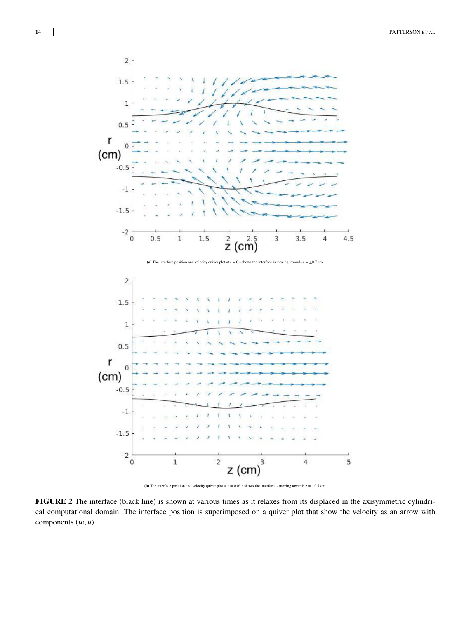<span id="page-13-0"></span>





**(b)** The interface position and velocity quiver plot at  $t = 0.05$  s shows the interface is moving towards  $r = \pm 0.7$  cm.

**FIGURE 2** The interface (black line) is shown at various times as it relaxes from its displaced in the axisymmetric cylindrical computational domain. The interface position is superimposed on a quiver plot that show the velocity as an arrow with components  $(w, u)$ .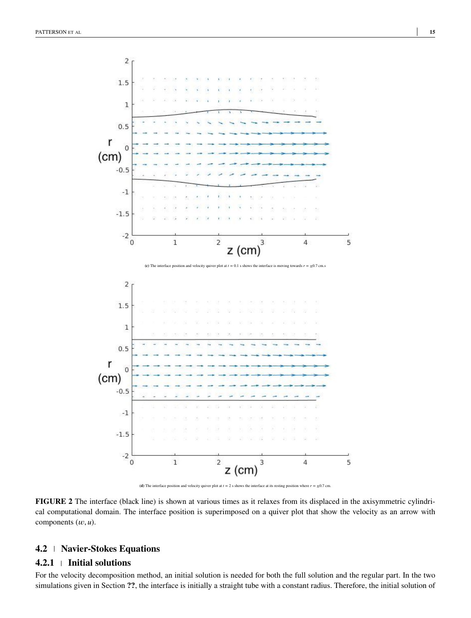<span id="page-14-0"></span>

**FIGURE 2** The interface (black line) is shown at various times as it relaxes from its displaced in the axisymmetric cylindrical computational domain. The interface position is superimposed on a quiver plot that show the velocity as an arrow with components  $(w, u)$ .

## **4.2 Navier-Stokes Equations**

#### **4.2.1 Initial solutions**

For the velocity decomposition method, an initial solution is needed for both the full solution and the regular part. In the two simulations given in Section **??**, the interface is initially a straight tube with a constant radius. Therefore, the initial solution of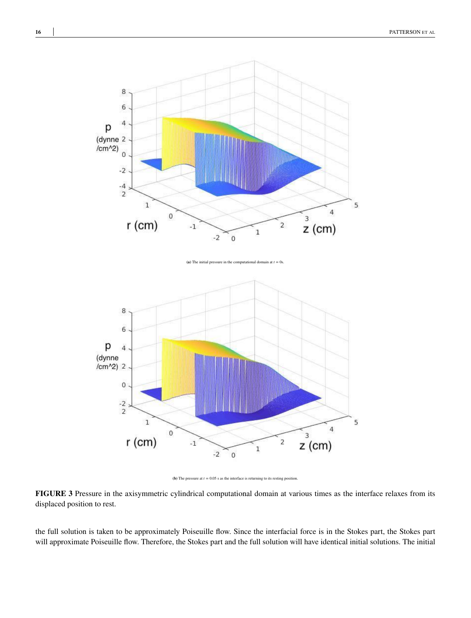<span id="page-15-0"></span>

**FIGURE 3** Pressure in the axisymmetric cylindrical computational domain at various times as the interface relaxes from its displaced position to rest.

the full solution is taken to be approximately Poiseuille flow. Since the interfacial force is in the Stokes part, the Stokes part will approximate Poiseuille flow. Therefore, the Stokes part and the full solution will have identical initial solutions. The initial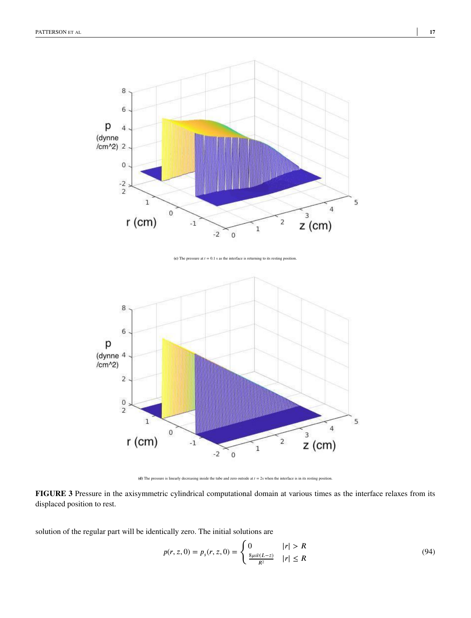<span id="page-16-0"></span>



(d) The pressure is linearly decreasing inside the tube and zero outside at  $t = 2s$  when the interface is in its resting position.

**FIGURE 3** Pressure in the axisymmetric cylindrical computational domain at various times as the interface relaxes from its displaced position to rest.

solution of the regular part will be identically zero. The initial solutions are

$$
p(r, z, 0) = p_s(r, z, 0) = \begin{cases} 0 & |r| > R \\ \frac{8\mu\bar{w}(L-z)}{R^2} & |r| \le R \end{cases}
$$
(94)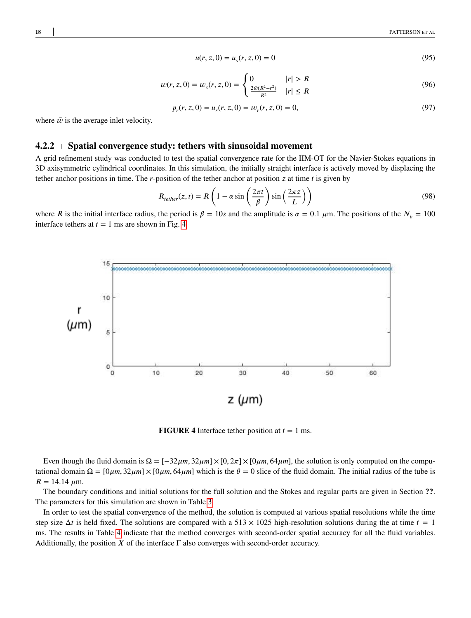$$
u(r, z, 0) = us(r, z, 0) = 0
$$
\n(95)

$$
w(r, z, 0) = w_s(r, z, 0) = \begin{cases} 0 & |r| > R \\ \frac{2\bar{w}(R^2 - r^2)}{R^2} & |r| \le R \end{cases}
$$
(96)

$$
p_r(r, z, 0) = u_r(r, z, 0) = w_r(r, z, 0) = 0,\tag{97}
$$

where  $\bar{w}$  is the average inlet velocity.

## **4.2.2 Spatial convergence study: tethers with sinusoidal movement**

A grid refinement study was conducted to test the spatial convergence rate for the IIM-OT for the Navier-Stokes equations in 3D axisymmetric cylindrical coordinates. In this simulation, the initially straight interface is actively moved by displacing the tether anchor positions in time. The *-position of the tether anchor at position*  $*z*$  *at time*  $*t*$  *is given by* 

$$
R_{tether}(z,t) = R\left(1 - \alpha \sin\left(\frac{2\pi t}{\beta}\right) \sin\left(\frac{2\pi z}{L}\right)\right)
$$
\n(98)

where *R* is the initial interface radius, the period is  $\beta = 10s$  and the amplitude is  $\alpha = 0.1 \mu \text{m}$ . The positions of the  $N_b = 100$ interface tethers at  $t = 1$  ms are shown in Fig. [4.](#page-17-0)

<span id="page-17-0"></span>

**FIGURE 4** Interface tether position at  $t = 1$  ms.

Even though the fluid domain is  $\Omega = [-32\mu m, 32\mu m] \times [0, 2\pi] \times [0, 4\mu m]$ , the solution is only computed on the computational domain  $\Omega = [0 \mu m, 32 \mu m] \times [0 \mu m, 64 \mu m]$  which is the  $\theta = 0$  slice of the fluid domain. The initial radius of the tube is  $R = 14.14 \mu m$ .

The boundary conditions and initial solutions for the full solution and the Stokes and regular parts are given in Section **??**. The parameters for this simulation are shown in Table [3.](#page-18-0)

In order to test the spatial convergence of the method, the solution is computed at various spatial resolutions while the time step size  $\Delta t$  is held fixed. The solutions are compared with a 513  $\times$  1025 high-resolution solutions during the at time  $t = 1$ ms. The results in Table [4](#page-18-1) indicate that the method converges with second-order spatial accuracy for all the fluid variables. Additionally, the position  $X$  of the interface  $\Gamma$  also converges with second-order accuracy.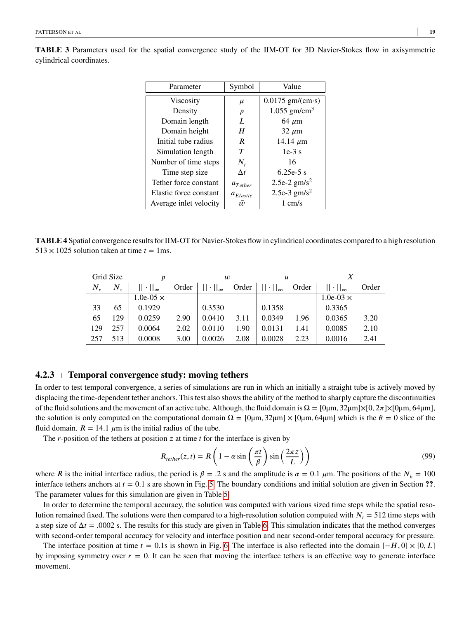<span id="page-18-0"></span>

|                          |  |  |  |  |  | <b>TABLE 3</b> Parameters used for the spatial convergence study of the IIM-OT for 3D Navier-Stokes flow in axisymmetric |  |  |
|--------------------------|--|--|--|--|--|--------------------------------------------------------------------------------------------------------------------------|--|--|
| cylindrical coordinates. |  |  |  |  |  |                                                                                                                          |  |  |

| Parameter              | Symbol         | Value                    |
|------------------------|----------------|--------------------------|
| <b>Viscosity</b>       | $\mu$          | $0.0175$ gm/(cm·s)       |
| Density                | $\rho$         | 1.055 gm/cm <sup>3</sup> |
| Domain length          | L              | $64 \ \mu m$             |
| Domain height          | H              | $32 \mu m$               |
| Initial tube radius    | R              | 14.14 $\mu$ m            |
| Simulation length      | T              | $1e-3s$                  |
| Number of time steps   | $N_{t}$        | 16                       |
| Time step size         | $\Delta t$     | $6.25e-5s$               |
| Tether force constant  | $a_{Tether}$   | 2.5e-2 $\text{gm/s}^2$   |
| Elastic force constant | $a_{Elastic}$  | 2.5e-3 $gm/s^2$          |
| Average inlet velocity | $\overline{w}$ | 1 cm/s                   |

<span id="page-18-1"></span>**TABLE 4**Spatial convergence results for IIM-OT for Navier-Stokes flow in cylindrical coordinates compared to a high resolution  $513 \times 1025$  solution taken at time  $t = 1$ ms.

| Grid Size |     |                      |       | w                    |       | u                    |       |                      |       |
|-----------|-----|----------------------|-------|----------------------|-------|----------------------|-------|----------------------|-------|
|           | Ν., | $  \cdot  _{\infty}$ | Order | $\ \cdot\ _{\infty}$ | Order | $\ \cdot\ _{\infty}$ | Order | $\ \cdot\ _{\infty}$ | Order |
|           |     | 1.0e-05 $\times$     |       |                      |       |                      |       | $1.0e-03 \times$     |       |
| 33        | 65  | 0.1929               |       | 0.3530               |       | 0.1358               |       | 0.3365               |       |
| 65        | 129 | 0.0259               | 2.90  | 0.0410               | 3.11  | 0.0349               | 1.96  | 0.0365               | 3.20  |
| 129       | 257 | 0.0064               | 2.02  | 0.0110               | 1.90  | 0.0131               | 1.41  | 0.0085               | 2.10  |
| 257       | 513 | 0.0008               | 3.00  | 0.0026               | 2.08  | 0.0028               | 2.23  | 0.0016               | 2.41  |

#### **4.2.3 Temporal convergence study: moving tethers**

In order to test temporal convergence, a series of simulations are run in which an initially a straight tube is actively moved by displacing the time-dependent tether anchors. This test also shows the ability of the method to sharply capture the discontinuities of the fluid solutions and the movement of an active tube. Although, the fluid domain isΩ = [0μm*,* 32μm]×[0*,* 2*𝜋*]×[0μm*,* 64μm], the solution is only computed on the computational domain  $\Omega = [0 \mu m, 32 \mu m] \times [0 \mu m, 64 \mu m]$  which is the  $\theta = 0$  slice of the fluid domain.  $R = 14.1 \mu m$  is the initial radius of the tube.

The *-position of the tethers at position*  $*z*$  *at time*  $*t*$  *for the interface is given by* 

$$
R_{tether}(z,t) = R\left(1 - \alpha \sin\left(\frac{\pi t}{\beta}\right) \sin\left(\frac{2\pi z}{L}\right)\right)
$$
\n(99)

where *R* is the initial interface radius, the period is  $\beta = .2$  s and the amplitude is  $\alpha = 0.1 \mu \text{m}$ . The positions of the  $N_b = 100$ interface tethers anchors at  $t = 0.1$  s are shown in Fig. [5.](#page-19-0) The boundary conditions and initial solution are given in Section ??. The parameter values for this simulation are given in Table [5.](#page-19-1)

In order to determine the temporal accuracy, the solution was computed with various sized time steps while the spatial resolution remained fixed. The solutions were then compared to a high-resolution solution computed with  $N_t = 512$  time steps with a step size of  $\Delta t = .0002$  s. The results for this study are given in Table [6.](#page-19-2) This simulation indicates that the method converges with second-order temporal accuracy for velocity and interface position and near second-order temporal accuracy for pressure.

The interface position at time  $t = 0.1$ s is shown in Fig. [6.](#page-20-3) The interface is also reflected into the domain  $[-H, 0] \times [0, L]$ by imposing symmetry over  $r = 0$ . It can be seen that moving the interface tethers is an effective way to generate interface movement.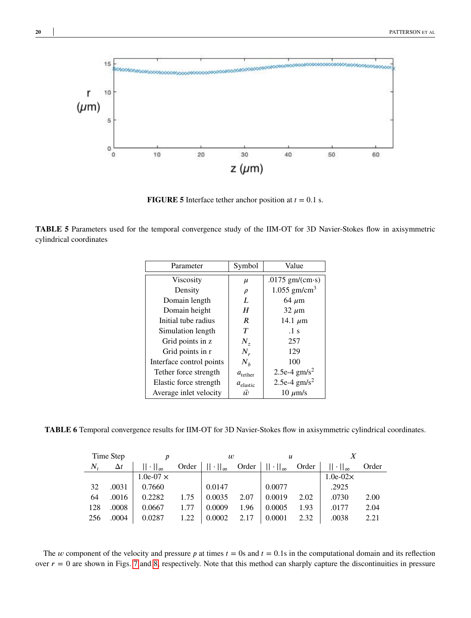<span id="page-19-0"></span>

**FIGURE 5** Interface tether anchor position at  $t = 0.1$  s.

<span id="page-19-1"></span>**TABLE 5** Parameters used for the temporal convergence study of the IIM-OT for 3D Navier-Stokes flow in axisymmetric cylindrical coordinates

| Parameter                | Symbol              | Value                      |
|--------------------------|---------------------|----------------------------|
| <b>Viscosity</b>         | $\mu$               | .0175 gm/(cm·s)            |
| Density                  | $\rho$              | $1.055$ gm/cm <sup>3</sup> |
| Domain length            | L                   | $64 \ \mu m$               |
| Domain height            | H                   | $32 \mu m$                 |
| Initial tube radius      | $\boldsymbol{R}$    | 14.1 $\mu$ m               |
| Simulation length        | T                   | $\cdot$ 1 s                |
| Grid points in z         | $N_z$               | 257                        |
| Grid points in r         | $N_r$               | 129                        |
| Interface control points | $N_h$               | 100                        |
| Tether force strength    | $a_{\text{tether}}$ | 2.5e-4 $\rm gm/s^2$        |
| Elastic force strength   | $a_{elastic}$       | 2.5e-4 $\text{gm/s}^2$     |
| Average inlet velocity   | w                   | $10 \ \mu m/s$             |

<span id="page-19-2"></span>**TABLE 6** Temporal convergence results for IIM-OT for 3D Navier-Stokes flow in axisymmetric cylindrical coordinates.

|             | Time Step  |                                   | w     |                        | $\boldsymbol{u}$ |                      |       |                      |       |
|-------------|------------|-----------------------------------|-------|------------------------|------------------|----------------------|-------|----------------------|-------|
| $N_{\cdot}$ | $\Delta t$ | $\left\  \cdot \right\ _{\infty}$ | Order | $   \cdot   _{\infty}$ | Order            | $\ \cdot\ _{\infty}$ | Order | $\ \cdot\ _{\infty}$ | Order |
|             |            | $1.0e-07 \times$                  |       |                        |                  |                      |       | $1.0e-02\times$      |       |
| 32          | .0031      | 0.7660                            |       | 0.0147                 |                  | 0.0077               |       | .2925                |       |
| 64          | .0016      | 0.2282                            | 1.75  | 0.0035                 | 2.07             | 0.0019               | 2.02  | .0730                | 2.00  |
| 128         | .0008      | 0.0667                            | 1.77  | 0.0009                 | 1.96             | 0.0005               | 1.93  | .0177                | 2.04  |
| 256         | .0004      | 0.0287                            | 1.22  | 0.0002                 | 2.17             | 0.0001               | 2.32  | .0038                | 2.21  |

The *w* component of the velocity and pressure *p* at times  $t = 0$ s and  $t = 0.1$ s in the computational domain and its reflection over  $r = 0$  are shown in Figs. [7](#page-21-3) and [8,](#page-22-3) respectively. Note that this method can sharply capture the discontinuities in pressure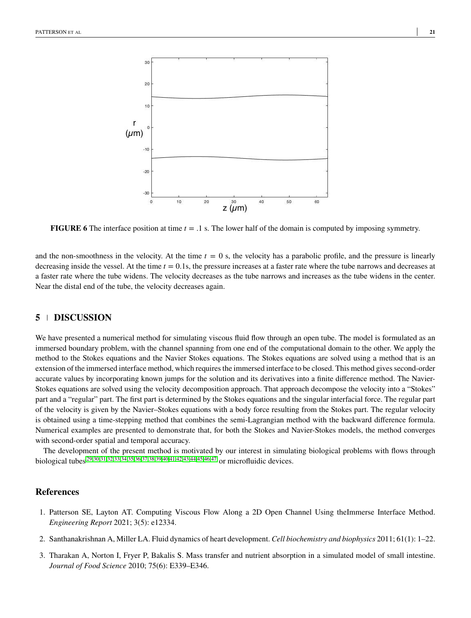<span id="page-20-3"></span>

**FIGURE 6** The interface position at time  $t = 0.1$  s. The lower half of the domain is computed by imposing symmetry.

and the non-smoothness in the velocity. At the time  $t = 0$  s, the velocity has a parabolic profile, and the pressure is linearly decreasing inside the vessel. At the time  $t = 0.1$ s, the pressure increases at a faster rate where the tube narrows and decreases at a faster rate where the tube widens. The velocity decreases as the tube narrows and increases as the tube widens in the center. Near the distal end of the tube, the velocity decreases again.

## **5 DISCUSSION**

We have presented a numerical method for simulating viscous fluid flow through an open tube. The model is formulated as an immersed boundary problem, with the channel spanning from one end of the computational domain to the other. We apply the method to the Stokes equations and the Navier Stokes equations. The Stokes equations are solved using a method that is an extension of the immersed interface method, which requires the immersed interface to be closed. This method gives second-order accurate values by incorporating known jumps for the solution and its derivatives into a finite difference method. The Navier-Stokes equations are solved using the velocity decomposition approach. That approach decompose the velocity into a "Stokes" part and a "regular" part. The first part is determined by the Stokes equations and the singular interfacial force. The regular part of the velocity is given by the Navier–Stokes equations with a body force resulting from the Stokes part. The regular velocity is obtained using a time-stepping method that combines the semi-Lagrangian method with the backward difference formula. Numerical examples are presented to demonstrate that, for both the Stokes and Navier-Stokes models, the method converges with second-order spatial and temporal accuracy.

The development of the present method is motivated by our interest in simulating biological problems with flows through biological tubes [29](#page-23-19)[,30](#page-24-0)[,31,](#page-24-1)[32](#page-24-2)[,33](#page-24-3)[,34](#page-24-4)[,35,](#page-24-5)[36](#page-24-6)[,37](#page-24-7)[,38](#page-24-8)[,39,](#page-24-9)[40](#page-24-10)[,41](#page-24-11)[,42](#page-24-12)[,43,](#page-24-13)[44](#page-24-14)[,45](#page-24-15)[,46](#page-24-16)[,47](#page-24-17) or microfluidic devices.

## **References**

- <span id="page-20-0"></span>1. Patterson SE, Layton AT. Computing Viscous Flow Along a 2D Open Channel Using theImmerse Interface Method. *Engineering Report* 2021; 3(5): e12334.
- <span id="page-20-1"></span>2. Santhanakrishnan A, Miller LA. Fluid dynamics of heart development. *Cell biochemistry and biophysics* 2011; 61(1): 1–22.
- <span id="page-20-2"></span>3. Tharakan A, Norton I, Fryer P, Bakalis S. Mass transfer and nutrient absorption in a simulated model of small intestine. *Journal of Food Science* 2010; 75(6): E339–E346.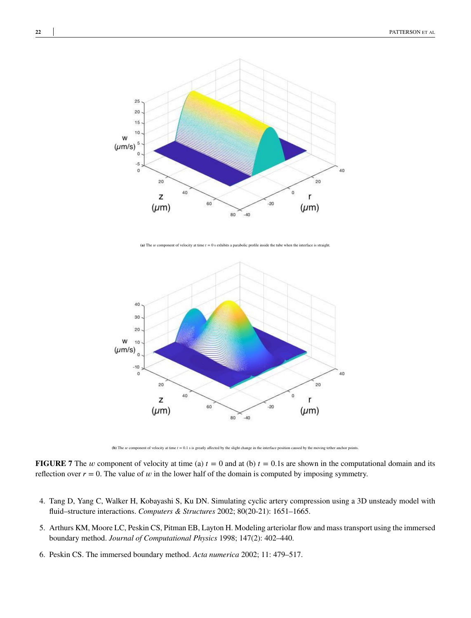<span id="page-21-3"></span>

(a) The *w* component of velocity at time  $t = 0$  s exhibits a parabolic profile inside the tube when the interface is



**(b)** The  $w$  component of velocity at time  $t = 0.1$  s is greatly affected by the slight change in the interface position caused by the moving tether anchor points.

**FIGURE 7** The *w* component of velocity at time (a)  $t = 0$  and at (b)  $t = 0.1$ s are shown in the computational domain and its reflection over  $r = 0$ . The value of  $w$  in the lower half of the domain is computed by imposing symmetry.

- <span id="page-21-0"></span>4. Tang D, Yang C, Walker H, Kobayashi S, Ku DN. Simulating cyclic artery compression using a 3D unsteady model with fluid–structure interactions. *Computers & Structures* 2002; 80(20-21): 1651–1665.
- <span id="page-21-1"></span>5. Arthurs KM, Moore LC, Peskin CS, Pitman EB, Layton H. Modeling arteriolar flow and mass transport using the immersed boundary method. *Journal of Computational Physics* 1998; 147(2): 402–440.
- <span id="page-21-2"></span>6. Peskin CS. The immersed boundary method. *Acta numerica* 2002; 11: 479–517.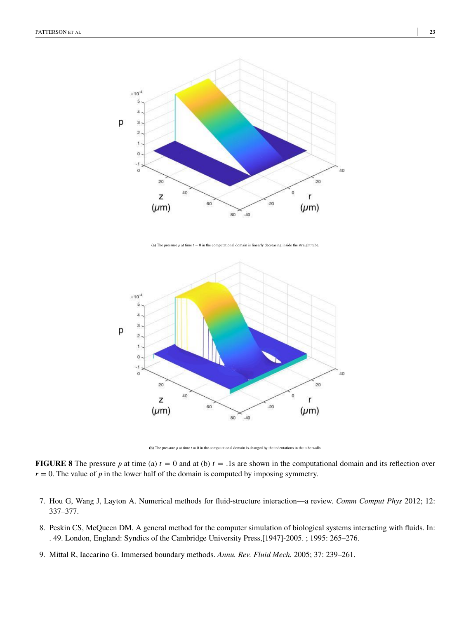<span id="page-22-3"></span>

**(a)** The present at the present in the present in the straight tube in present tube in the straight tube.



**(b)** The pressure  $p$  at time  $t = 0$  in the computational domain is changed by the indentations in the tube walls.

**FIGURE 8** The pressure *p* at time (a)  $t = 0$  and at (b)  $t = .1$ s are shown in the computational domain and its reflection over  $r = 0$ . The value of  $p$  in the lower half of the domain is computed by imposing symmetry.

- <span id="page-22-0"></span>7. Hou G, Wang J, Layton A. Numerical methods for fluid-structure interaction—a review. *Comm Comput Phys* 2012; 12: 337–377.
- <span id="page-22-1"></span>8. Peskin CS, McQueen DM. A general method for the computer simulation of biological systems interacting with fluids. In: . 49. London, England: Syndics of the Cambridge University Press,[1947]-2005. ; 1995: 265–276.
- <span id="page-22-2"></span>9. Mittal R, Iaccarino G. Immersed boundary methods. *Annu. Rev. Fluid Mech.* 2005; 37: 239–261.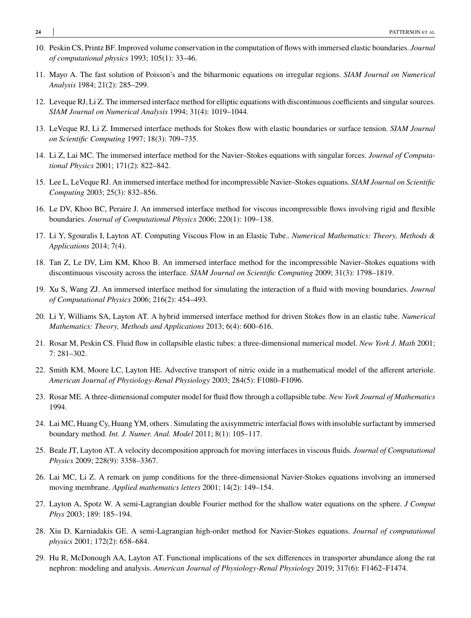- <span id="page-23-0"></span>10. Peskin CS, Printz BF. Improved volume conservation in the computation of flows with immersed elastic boundaries. *Journal of computational physics* 1993; 105(1): 33–46.
- <span id="page-23-1"></span>11. Mayo A. The fast solution of Poisson's and the biharmonic equations on irregular regions. *SIAM Journal on Numerical Analysis* 1984; 21(2): 285–299.
- <span id="page-23-2"></span>12. Leveque RJ, Li Z. The immersed interface method for elliptic equations with discontinuous coefficients and singular sources. *SIAM Journal on Numerical Analysis* 1994; 31(4): 1019–1044.
- <span id="page-23-3"></span>13. LeVeque RJ, Li Z. Immersed interface methods for Stokes flow with elastic boundaries or surface tension. *SIAM Journal on Scientific Computing* 1997; 18(3): 709–735.
- <span id="page-23-4"></span>14. Li Z, Lai MC. The immersed interface method for the Navier–Stokes equations with singular forces. *Journal of Computational Physics* 2001; 171(2): 822–842.
- <span id="page-23-5"></span>15. Lee L, LeVeque RJ. An immersed interface method for incompressible Navier–Stokes equations. *SIAM Journal on Scientific Computing* 2003; 25(3): 832–856.
- <span id="page-23-6"></span>16. Le DV, Khoo BC, Peraire J. An immersed interface method for viscous incompressible flows involving rigid and flexible boundaries. *Journal of Computational Physics* 2006; 220(1): 109–138.
- <span id="page-23-7"></span>17. Li Y, Sgouralis I, Layton AT. Computing Viscous Flow in an Elastic Tube.. *Numerical Mathematics: Theory, Methods & Applications* 2014; 7(4).
- <span id="page-23-8"></span>18. Tan Z, Le DV, Lim KM, Khoo B. An immersed interface method for the incompressible Navier–Stokes equations with discontinuous viscosity across the interface. *SIAM Journal on Scientific Computing* 2009; 31(3): 1798–1819.
- <span id="page-23-9"></span>19. Xu S, Wang ZJ. An immersed interface method for simulating the interaction of a fluid with moving boundaries. *Journal of Computational Physics* 2006; 216(2): 454–493.
- <span id="page-23-10"></span>20. Li Y, Williams SA, Layton AT. A hybrid immersed interface method for driven Stokes flow in an elastic tube. *Numerical Mathematics: Theory, Methods and Applications* 2013; 6(4): 600–616.
- <span id="page-23-11"></span>21. Rosar M, Peskin CS. Fluid flow in collapsible elastic tubes: a three-dimensional numerical model. *New York J. Math* 2001; 7: 281–302.
- <span id="page-23-12"></span>22. Smith KM, Moore LC, Layton HE. Advective transport of nitric oxide in a mathematical model of the afferent arteriole. *American Journal of Physiology-Renal Physiology* 2003; 284(5): F1080–F1096.
- <span id="page-23-13"></span>23. Rosar ME. A three-dimensional computer model for fluid flow through a collapsible tube. *New York Journal of Mathematics* 1994.
- <span id="page-23-14"></span>24. Lai MC, Huang Cy, Huang YM, others . Simulating the axisymmetric interfacial flows with insoluble surfactant by immersed boundary method. *Int. J. Numer. Anal. Model* 2011; 8(1): 105–117.
- <span id="page-23-15"></span>25. Beale JT, Layton AT. A velocity decomposition approach for moving interfaces in viscous fluids. *Journal of Computational Physics* 2009; 228(9): 3358–3367.
- <span id="page-23-16"></span>26. Lai MC, Li Z. A remark on jump conditions for the three-dimensional Navier-Stokes equations involving an immersed moving membrane. *Applied mathematics letters* 2001; 14(2): 149–154.
- <span id="page-23-17"></span>27. Layton A, Spotz W. A semi-Lagrangian double Fourier method for the shallow water equations on the sphere. *J Comput Phys* 2003; 189: 185–194.
- <span id="page-23-18"></span>28. Xiu D, Karniadakis GE. A semi-Lagrangian high-order method for Navier-Stokes equations. *Journal of computational physics* 2001; 172(2): 658–684.
- <span id="page-23-19"></span>29. Hu R, McDonough AA, Layton AT. Functional implications of the sex differences in transporter abundance along the rat nephron: modeling and analysis. *American Journal of Physiology-Renal Physiology* 2019; 317(6): F1462–F1474.